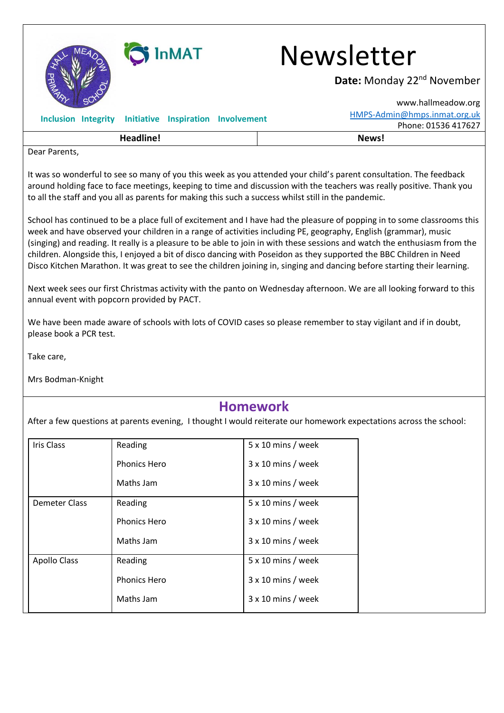

## i InMAT Newsletter

Date: Monday 22<sup>nd</sup> November

| SU.                                                                                                                                                                                                                                                                                                                                                 | www.hallmeadow.org           |
|-----------------------------------------------------------------------------------------------------------------------------------------------------------------------------------------------------------------------------------------------------------------------------------------------------------------------------------------------------|------------------------------|
| Initiative Inspiration Involvement<br><b>Inclusion Integrity</b>                                                                                                                                                                                                                                                                                    | HMPS-Admin@hmps.inmat.org.uk |
|                                                                                                                                                                                                                                                                                                                                                     | Phone: 01536 417627          |
| Headline!                                                                                                                                                                                                                                                                                                                                           | News!                        |
| Dear Parents,                                                                                                                                                                                                                                                                                                                                       |                              |
| It was so wonderful to see so many of you this week as you attended your child's parent consultation. The feedback<br>around holding face to face meetings, keeping to time and discussion with the teachers was really positive. Thank you<br>to all the staff and you all as parents for making this such a success whilst still in the pandemic. |                              |

School has continued to be a place full of excitement and I have had the pleasure of popping in to some classrooms this week and have observed your children in a range of activities including PE, geography, English (grammar), music (singing) and reading. It really is a pleasure to be able to join in with these sessions and watch the enthusiasm from the children. Alongside this, I enjoyed a bit of disco dancing with Poseidon as they supported the BBC Children in Need Disco Kitchen Marathon. It was great to see the children joining in, singing and dancing before starting their learning.

Next week sees our first Christmas activity with the panto on Wednesday afternoon. We are all looking forward to this annual event with popcorn provided by PACT.

We have been made aware of schools with lots of COVID cases so please remember to stay vigilant and if in doubt, please book a PCR test.

Take care,

Mrs Bodman-Knight

## **Homework**

After a few questions at parents evening, I thought I would reiterate our homework expectations across the school:

| Iris Class          | Reading             | $5 \times 10$ mins / week |
|---------------------|---------------------|---------------------------|
|                     | <b>Phonics Hero</b> | $3 \times 10$ mins / week |
|                     | Maths Jam           | $3 \times 10$ mins / week |
| Demeter Class       | Reading             | $5 \times 10$ mins / week |
|                     | <b>Phonics Hero</b> | $3 \times 10$ mins / week |
|                     | Maths Jam           | $3 \times 10$ mins / week |
| <b>Apollo Class</b> | Reading             | $5 \times 10$ mins / week |
|                     | <b>Phonics Hero</b> | $3 \times 10$ mins / week |
|                     | Maths Jam           | $3 \times 10$ mins / week |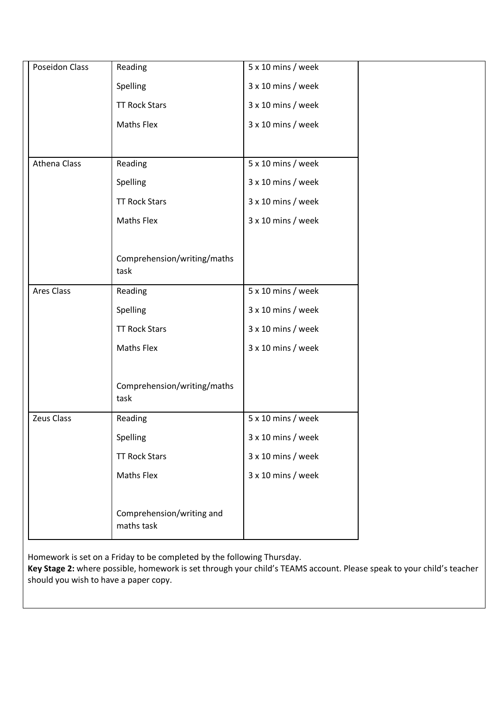| Poseidon Class | Reading                                 | 5 x 10 mins / week        |  |
|----------------|-----------------------------------------|---------------------------|--|
|                | Spelling                                | 3 x 10 mins / week        |  |
|                | <b>TT Rock Stars</b>                    | 3 x 10 mins / week        |  |
|                | <b>Maths Flex</b>                       | 3 x 10 mins / week        |  |
|                |                                         |                           |  |
| Athena Class   | Reading                                 | 5 x 10 mins / week        |  |
|                | Spelling                                | 3 x 10 mins / week        |  |
|                | <b>TT Rock Stars</b>                    | 3 x 10 mins / week        |  |
|                | <b>Maths Flex</b>                       | 3 x 10 mins / week        |  |
|                |                                         |                           |  |
|                | Comprehension/writing/maths<br>task     |                           |  |
| Ares Class     | Reading                                 | 5 x 10 mins / week        |  |
|                | Spelling                                | 3 x 10 mins / week        |  |
|                | <b>TT Rock Stars</b>                    | 3 x 10 mins / week        |  |
|                | <b>Maths Flex</b>                       | 3 x 10 mins / week        |  |
|                |                                         |                           |  |
|                | Comprehension/writing/maths<br>task     |                           |  |
| Zeus Class     | Reading                                 | 5 x 10 mins / week        |  |
|                | Spelling                                | $3 \times 10$ mins / week |  |
|                | <b>TT Rock Stars</b>                    | 3 x 10 mins / week        |  |
|                | <b>Maths Flex</b>                       | 3 x 10 mins / week        |  |
|                |                                         |                           |  |
|                | Comprehension/writing and<br>maths task |                           |  |

Homework is set on a Friday to be completed by the following Thursday.

**Key Stage 2:** where possible, homework is set through your child's TEAMS account. Please speak to your child's teacher should you wish to have a paper copy.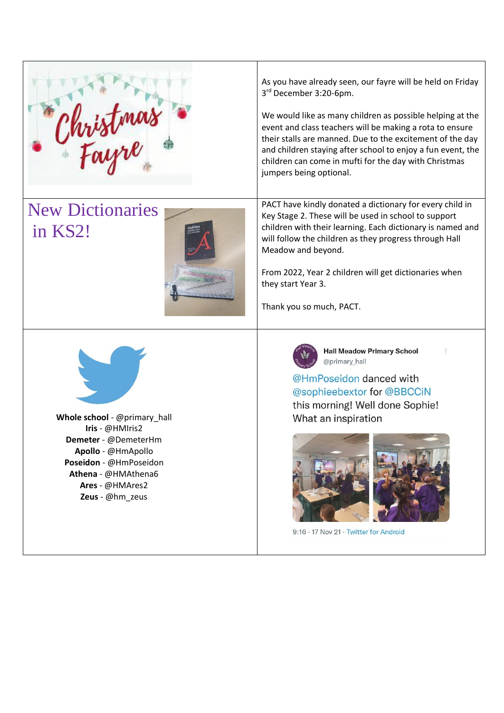Christmas

## New Dictionaries in KS2!



As you have already seen, our fayre will be held on Friday 3 rd December 3:20-6pm.

We would like as many children as possible helping at the event and class teachers will be making a rota to ensure their stalls are manned. Due to the excitement of the day and children staying after school to enjoy a fun event, the children can come in mufti for the day with Christmas jumpers being optional.

PACT have kindly donated a dictionary for every child in Key Stage 2. These will be used in school to support children with their learning. Each dictionary is named and will follow the children as they progress through Hall Meadow and beyond.

From 2022, Year 2 children will get dictionaries when they start Year 3.

Thank you so much, PACT.



**Whole school** - @primary\_hall **Iris** - @HMIris2 **Demeter** - @DemeterHm **Apollo** - @HmApollo **Poseidon** - @HmPoseidon **Athena** - @HMAthena6 **Ares** - @HMAres2 **Zeus** - @hm\_zeus



**Hall Meadow Primary School** @primary hall

@HmPoseidon danced with @sophieebextor for @BBCCiN this morning! Well done Sophie! What an inspiration



9:16 · 17 Nov 21 · Twitter for Android